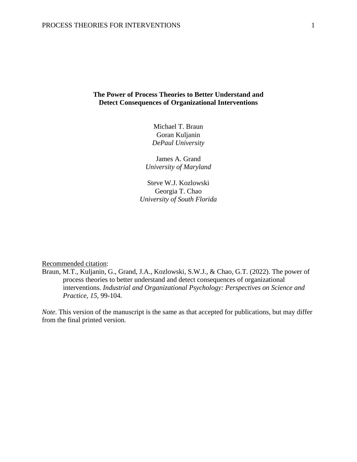# **The Power of Process Theories to Better Understand and Detect Consequences of Organizational Interventions**

Michael T. Braun Goran Kuljanin *DePaul University*

James A. Grand *University of Maryland*

Steve W.J. Kozlowski Georgia T. Chao *University of South Florida*

Recommended citation:

Braun, M.T., Kuljanin, G., Grand, J.A., Kozlowski, S.W.J., & Chao, G.T. (2022). The power of process theories to better understand and detect consequences of organizational interventions. *Industrial and Organizational Psychology: Perspectives on Science and Practice, 15*, 99-104.

*Note*. This version of the manuscript is the same as that accepted for publications, but may differ from the final printed version.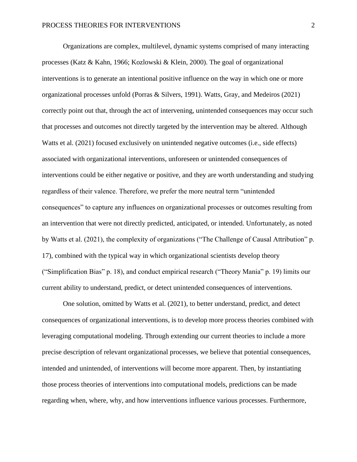Organizations are complex, multilevel, dynamic systems comprised of many interacting processes (Katz & Kahn, 1966; Kozlowski & Klein, 2000). The goal of organizational interventions is to generate an intentional positive influence on the way in which one or more organizational processes unfold (Porras & Silvers, 1991). Watts, Gray, and Medeiros (2021) correctly point out that, through the act of intervening, unintended consequences may occur such that processes and outcomes not directly targeted by the intervention may be altered. Although Watts et al. (2021) focused exclusively on unintended negative outcomes (i.e., side effects) associated with organizational interventions, unforeseen or unintended consequences of interventions could be either negative or positive, and they are worth understanding and studying regardless of their valence. Therefore, we prefer the more neutral term "unintended consequences" to capture any influences on organizational processes or outcomes resulting from an intervention that were not directly predicted, anticipated, or intended. Unfortunately, as noted by Watts et al. (2021), the complexity of organizations ("The Challenge of Causal Attribution" p. 17), combined with the typical way in which organizational scientists develop theory ("Simplification Bias" p. 18), and conduct empirical research ("Theory Mania" p. 19) limits our current ability to understand, predict, or detect unintended consequences of interventions.

One solution, omitted by Watts et al. (2021), to better understand, predict, and detect consequences of organizational interventions, is to develop more process theories combined with leveraging computational modeling. Through extending our current theories to include a more precise description of relevant organizational processes, we believe that potential consequences, intended and unintended, of interventions will become more apparent. Then, by instantiating those process theories of interventions into computational models, predictions can be made regarding when, where, why, and how interventions influence various processes. Furthermore,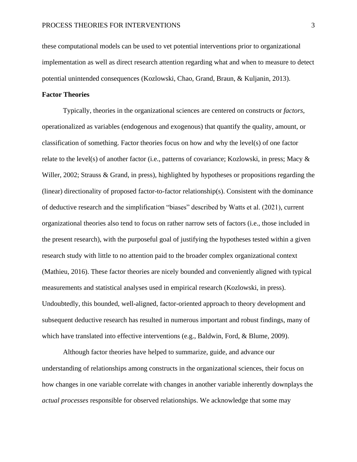these computational models can be used to vet potential interventions prior to organizational implementation as well as direct research attention regarding what and when to measure to detect potential unintended consequences (Kozlowski, Chao, Grand, Braun, & Kuljanin, 2013).

## **Factor Theories**

Typically, theories in the organizational sciences are centered on constructs or *factors*, operationalized as variables (endogenous and exogenous) that quantify the quality, amount, or classification of something. Factor theories focus on how and why the level(s) of one factor relate to the level(s) of another factor (i.e., patterns of covariance; Kozlowski, in press; Macy  $\&$ Willer, 2002; Strauss & Grand, in press), highlighted by hypotheses or propositions regarding the (linear) directionality of proposed factor-to-factor relationship(s). Consistent with the dominance of deductive research and the simplification "biases" described by Watts et al. (2021), current organizational theories also tend to focus on rather narrow sets of factors (i.e., those included in the present research), with the purposeful goal of justifying the hypotheses tested within a given research study with little to no attention paid to the broader complex organizational context (Mathieu, 2016). These factor theories are nicely bounded and conveniently aligned with typical measurements and statistical analyses used in empirical research (Kozlowski, in press). Undoubtedly, this bounded, well-aligned, factor-oriented approach to theory development and subsequent deductive research has resulted in numerous important and robust findings, many of which have translated into effective interventions (e.g., Baldwin, Ford, & Blume, 2009).

Although factor theories have helped to summarize, guide, and advance our understanding of relationships among constructs in the organizational sciences, their focus on how changes in one variable correlate with changes in another variable inherently downplays the *actual processes* responsible for observed relationships. We acknowledge that some may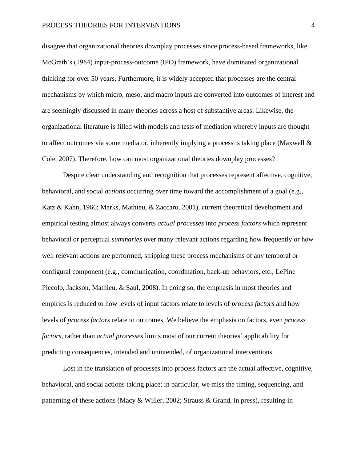disagree that organizational theories downplay processes since process-based frameworks, like McGrath's (1964) input-process-outcome (IPO) framework, have dominated organizational thinking for over 50 years. Furthermore, it is widely accepted that processes are the central mechanisms by which micro, meso, and macro inputs are converted into outcomes of interest and are seemingly discussed in many theories across a host of substantive areas. Likewise, the organizational literature is filled with models and tests of mediation whereby inputs are thought to affect outcomes via some mediator, inherently implying a process is taking place (Maxwell  $\&$ Cole, 2007). Therefore, how can most organizational theories downplay processes?

Despite clear understanding and recognition that processes represent affective, cognitive, behavioral, and social *actions* occurring over time toward the accomplishment of a goal (e.g., Katz & Kahn, 1966; Marks, Mathieu, & Zaccaro, 2001), current theoretical development and empirical testing almost always converts *actual processes* into *process factors* which represent behavioral or perceptual *summaries* over many relevant actions regarding how frequently or how well relevant actions are performed, stripping these process mechanisms of any temporal or configural component (e.g., communication, coordination, back-up behaviors, etc.; LePine Piccolo, Jackson, Mathieu, & Saul, 2008). In doing so, the emphasis in most theories and empirics is reduced to how levels of input factors relate to levels of *process factors* and how levels of *process factors* relate to outcomes. We believe the emphasis on factors, even *process factors*, rather than *actual processes* limits most of our current theories' applicability for predicting consequences, intended and unintended, of organizational interventions.

Lost in the translation of processes into process factors are the actual affective, cognitive, behavioral, and social actions taking place; in particular, we miss the timing, sequencing, and patterning of these actions (Macy & Willer, 2002; Strauss & Grand, in press), resulting in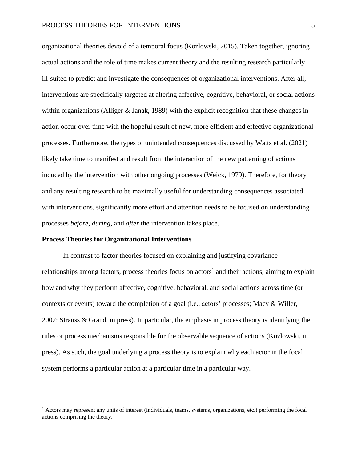organizational theories devoid of a temporal focus (Kozlowski, 2015). Taken together, ignoring actual actions and the role of time makes current theory and the resulting research particularly ill-suited to predict and investigate the consequences of organizational interventions. After all, interventions are specifically targeted at altering affective, cognitive, behavioral, or social actions within organizations (Alliger & Janak, 1989) with the explicit recognition that these changes in action occur over time with the hopeful result of new, more efficient and effective organizational processes. Furthermore, the types of unintended consequences discussed by Watts et al. (2021) likely take time to manifest and result from the interaction of the new patterning of actions induced by the intervention with other ongoing processes (Weick, 1979). Therefore, for theory and any resulting research to be maximally useful for understanding consequences associated with interventions, significantly more effort and attention needs to be focused on understanding processes *before*, *during*, and *after* the intervention takes place.

#### **Process Theories for Organizational Interventions**

In contrast to factor theories focused on explaining and justifying covariance relationships among factors, process theories focus on actors<sup>1</sup> and their actions, aiming to explain how and why they perform affective, cognitive, behavioral, and social actions across time (or contexts or events) toward the completion of a goal (i.e., actors' processes; Macy & Willer, 2002; Strauss & Grand, in press). In particular, the emphasis in process theory is identifying the rules or process mechanisms responsible for the observable sequence of actions (Kozlowski, in press). As such, the goal underlying a process theory is to explain why each actor in the focal system performs a particular action at a particular time in a particular way.

 $<sup>1</sup>$  Actors may represent any units of interest (individuals, teams, systems, organizations, etc.) performing the focal</sup> actions comprising the theory.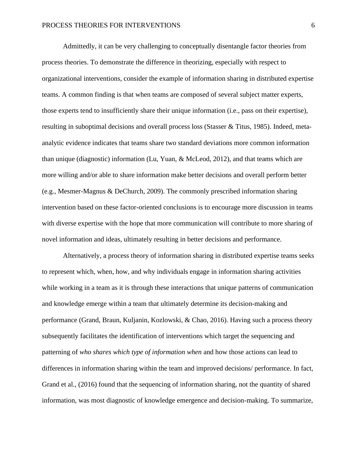Admittedly, it can be very challenging to conceptually disentangle factor theories from process theories. To demonstrate the difference in theorizing, especially with respect to organizational interventions, consider the example of information sharing in distributed expertise teams. A common finding is that when teams are composed of several subject matter experts, those experts tend to insufficiently share their unique information (i.e., pass on their expertise), resulting in suboptimal decisions and overall process loss (Stasser & Titus, 1985). Indeed, metaanalytic evidence indicates that teams share two standard deviations more common information than unique (diagnostic) information (Lu, Yuan, & McLeod, 2012), and that teams which are more willing and/or able to share information make better decisions and overall perform better (e.g., Mesmer-Magnus & DeChurch, 2009). The commonly prescribed information sharing intervention based on these factor-oriented conclusions is to encourage more discussion in teams with diverse expertise with the hope that more communication will contribute to more sharing of novel information and ideas, ultimately resulting in better decisions and performance.

Alternatively, a process theory of information sharing in distributed expertise teams seeks to represent which, when, how, and why individuals engage in information sharing activities while working in a team as it is through these interactions that unique patterns of communication and knowledge emerge within a team that ultimately determine its decision-making and performance (Grand, Braun, Kuljanin, Kozlowski, & Chao, 2016). Having such a process theory subsequently facilitates the identification of interventions which target the sequencing and patterning of *who shares which type of information when* and how those actions can lead to differences in information sharing within the team and improved decisions/ performance. In fact, Grand et al., (2016) found that the sequencing of information sharing, not the quantity of shared information, was most diagnostic of knowledge emergence and decision-making. To summarize,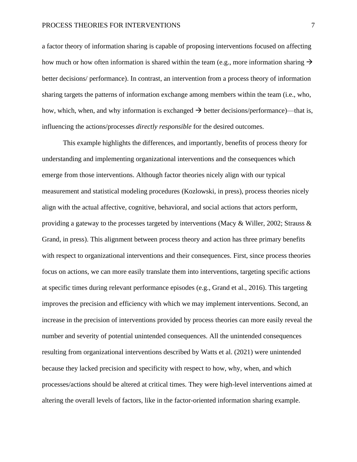a factor theory of information sharing is capable of proposing interventions focused on affecting how much or how often information is shared within the team (e.g., more information sharing  $\rightarrow$ better decisions/ performance). In contrast, an intervention from a process theory of information sharing targets the patterns of information exchange among members within the team (i.e., who, how, which, when, and why information is exchanged  $\rightarrow$  better decisions/performance)—that is, influencing the actions/processes *directly responsible* for the desired outcomes.

This example highlights the differences, and importantly, benefits of process theory for understanding and implementing organizational interventions and the consequences which emerge from those interventions. Although factor theories nicely align with our typical measurement and statistical modeling procedures (Kozlowski, in press), process theories nicely align with the actual affective, cognitive, behavioral, and social actions that actors perform, providing a gateway to the processes targeted by interventions (Macy & Willer, 2002; Strauss  $\&$ Grand, in press). This alignment between process theory and action has three primary benefits with respect to organizational interventions and their consequences. First, since process theories focus on actions, we can more easily translate them into interventions, targeting specific actions at specific times during relevant performance episodes (e.g., Grand et al., 2016). This targeting improves the precision and efficiency with which we may implement interventions. Second, an increase in the precision of interventions provided by process theories can more easily reveal the number and severity of potential unintended consequences. All the unintended consequences resulting from organizational interventions described by Watts et al. (2021) were unintended because they lacked precision and specificity with respect to how, why, when, and which processes/actions should be altered at critical times. They were high-level interventions aimed at altering the overall levels of factors, like in the factor-oriented information sharing example.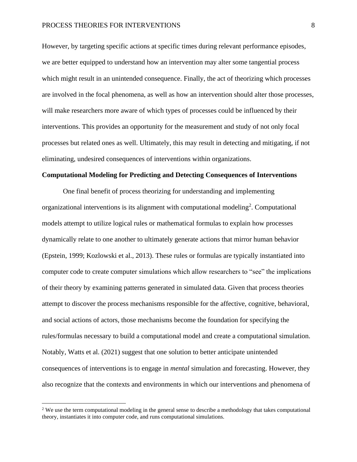However, by targeting specific actions at specific times during relevant performance episodes, we are better equipped to understand how an intervention may alter some tangential process which might result in an unintended consequence. Finally, the act of theorizing which processes are involved in the focal phenomena, as well as how an intervention should alter those processes, will make researchers more aware of which types of processes could be influenced by their interventions. This provides an opportunity for the measurement and study of not only focal processes but related ones as well. Ultimately, this may result in detecting and mitigating, if not eliminating, undesired consequences of interventions within organizations.

## **Computational Modeling for Predicting and Detecting Consequences of Interventions**

One final benefit of process theorizing for understanding and implementing organizational interventions is its alignment with computational modeling<sup>2</sup>. Computational models attempt to utilize logical rules or mathematical formulas to explain how processes dynamically relate to one another to ultimately generate actions that mirror human behavior (Epstein, 1999; Kozlowski et al., 2013). These rules or formulas are typically instantiated into computer code to create computer simulations which allow researchers to "see" the implications of their theory by examining patterns generated in simulated data. Given that process theories attempt to discover the process mechanisms responsible for the affective, cognitive, behavioral, and social actions of actors, those mechanisms become the foundation for specifying the rules/formulas necessary to build a computational model and create a computational simulation. Notably, Watts et al. (2021) suggest that one solution to better anticipate unintended consequences of interventions is to engage in *mental* simulation and forecasting. However, they also recognize that the contexts and environments in which our interventions and phenomena of

<sup>&</sup>lt;sup>2</sup> We use the term computational modeling in the general sense to describe a methodology that takes computational theory, instantiates it into computer code, and runs computational simulations.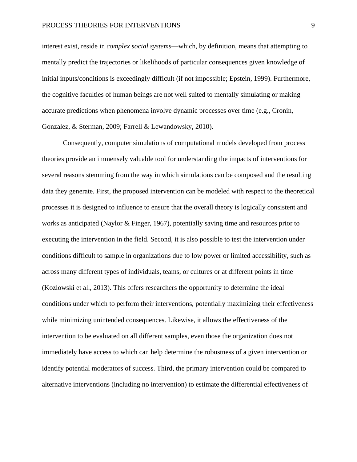interest exist, reside in *complex social systems*—which, by definition, means that attempting to mentally predict the trajectories or likelihoods of particular consequences given knowledge of initial inputs/conditions is exceedingly difficult (if not impossible; Epstein, 1999). Furthermore, the cognitive faculties of human beings are not well suited to mentally simulating or making accurate predictions when phenomena involve dynamic processes over time (e.g., Cronin, Gonzalez, & Sterman, 2009; Farrell & Lewandowsky, 2010).

Consequently, computer simulations of computational models developed from process theories provide an immensely valuable tool for understanding the impacts of interventions for several reasons stemming from the way in which simulations can be composed and the resulting data they generate. First, the proposed intervention can be modeled with respect to the theoretical processes it is designed to influence to ensure that the overall theory is logically consistent and works as anticipated (Naylor & Finger, 1967), potentially saving time and resources prior to executing the intervention in the field. Second, it is also possible to test the intervention under conditions difficult to sample in organizations due to low power or limited accessibility, such as across many different types of individuals, teams, or cultures or at different points in time (Kozlowski et al., 2013). This offers researchers the opportunity to determine the ideal conditions under which to perform their interventions, potentially maximizing their effectiveness while minimizing unintended consequences. Likewise, it allows the effectiveness of the intervention to be evaluated on all different samples, even those the organization does not immediately have access to which can help determine the robustness of a given intervention or identify potential moderators of success. Third, the primary intervention could be compared to alternative interventions (including no intervention) to estimate the differential effectiveness of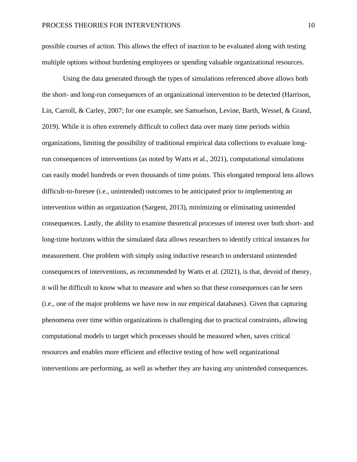possible courses of action. This allows the effect of inaction to be evaluated along with testing multiple options without burdening employees or spending valuable organizational resources.

Using the data generated through the types of simulations referenced above allows both the short- and long-run consequences of an organizational intervention to be detected (Harrison, Lin, Carroll, & Carley, 2007; for one example, see Samuelson, Levine, Barth, Wessel, & Grand, 2019). While it is often extremely difficult to collect data over many time periods within organizations, limiting the possibility of traditional empirical data collections to evaluate longrun consequences of interventions (as noted by Watts et al., 2021), computational simulations can easily model hundreds or even thousands of time points. This elongated temporal lens allows difficult-to-foresee (i.e., unintended) outcomes to be anticipated prior to implementing an intervention within an organization (Sargent, 2013), minimizing or eliminating unintended consequences. Lastly, the ability to examine theoretical processes of interest over both short- and long-time horizons within the simulated data allows researchers to identify critical instances for measurement. One problem with simply using inductive research to understand unintended consequences of interventions, as recommended by Watts et al. (2021), is that, devoid of theory, it will be difficult to know what to measure and when so that these consequences can be seen (i.e., one of the major problems we have now in our empirical databases). Given that capturing phenomena over time within organizations is challenging due to practical constraints, allowing computational models to target which processes should be measured when, saves critical resources and enables more efficient and effective testing of how well organizational interventions are performing, as well as whether they are having any unintended consequences.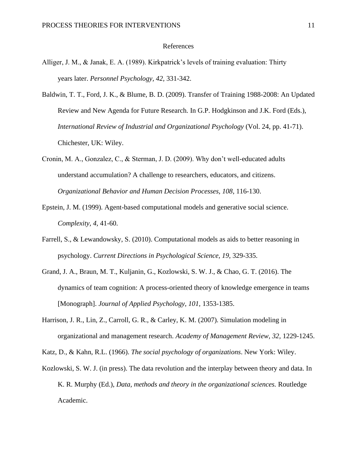### References

- Alliger, J. M., & Janak, E. A. (1989). Kirkpatrick's levels of training evaluation: Thirty years later. *Personnel Psychology, 42,* 331-342.
- Baldwin, T. T., Ford, J. K., & Blume, B. D. (2009). Transfer of Training 1988-2008: An Updated Review and New Agenda for Future Research. In G.P. Hodgkinson and J.K. Ford (Eds.), *International Review of Industrial and Organizational Psychology* (Vol. 24, pp. 41-71). Chichester, UK: Wiley.
- Cronin, M. A., Gonzalez, C., & Sterman, J. D. (2009). Why don't well-educated adults understand accumulation? A challenge to researchers, educators, and citizens. *Organizational Behavior and Human Decision Processes, 108*, 116-130.
- Epstein, J. M. (1999). Agent-based computational models and generative social science. *Complexity, 4,* 41-60.
- Farrell, S., & Lewandowsky, S. (2010). Computational models as aids to better reasoning in psychology. *Current Directions in Psychological Science, 19*, 329-335.
- Grand, J. A., Braun, M. T., Kuljanin, G., Kozlowski, S. W. J., & Chao, G. T. (2016). The dynamics of team cognition: A process-oriented theory of knowledge emergence in teams [Monograph]. *Journal of Applied Psychology, 101,* 1353-1385.
- Harrison, J. R., Lin, Z., Carroll, G. R., & Carley, K. M. (2007). Simulation modeling in organizational and management research. *Academy of Management Review, 32,* 1229-1245.

Katz, D., & Kahn, R.L. (1966). *The social psychology of organizations*. New York: Wiley.

Kozlowski, S. W. J. (in press). The data revolution and the interplay between theory and data. In K. R. Murphy (Ed.), *Data, methods and theory in the organizational sciences.* Routledge Academic.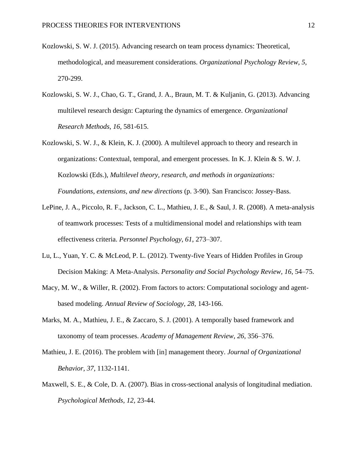- Kozlowski, S. W. J. (2015). Advancing research on team process dynamics: Theoretical, methodological, and measurement considerations. *Organizational Psychology Review, 5,*  270-299.
- Kozlowski, S. W. J., Chao, G. T., Grand, J. A., Braun, M. T. & Kuljanin, G. (2013). Advancing multilevel research design: Capturing the dynamics of emergence. *Organizational Research Methods, 16,* 581-615.
- Kozlowski, S. W. J., & Klein, K. J. (2000). A multilevel approach to theory and research in organizations: Contextual, temporal, and emergent processes. In K. J. Klein & S. W. J. Kozlowski (Eds.), *Multilevel theory, research, and methods in organizations: Foundations, extensions, and new directions* (p. 3-90). San Francisco: Jossey-Bass.
- LePine, J. A., Piccolo, R. F., Jackson, C. L., Mathieu, J. E., & Saul, J. R. (2008). A meta-analysis of teamwork processes: Tests of a multidimensional model and relationships with team effectiveness criteria. *Personnel Psychology*, *61*, 273–307.
- Lu, L., Yuan, Y. C. & McLeod, P. L. (2012). Twenty-five Years of Hidden Profiles in Group Decision Making: A Meta-Analysis. *Personality and Social Psychology Review, 16*, 54–75.
- Macy, M. W., & Willer, R. (2002). From factors to actors: Computational sociology and agentbased modeling. *Annual Review of Sociology, 28*, 143-166.
- Marks, M. A., Mathieu, J. E., & Zaccaro, S. J. (2001). A temporally based framework and taxonomy of team processes. *Academy of Management Review*, *26*, 356–376.
- Mathieu, J. E. (2016). The problem with [in] management theory. *Journal of Organizational Behavior, 37,* 1132-1141.
- Maxwell, S. E., & Cole, D. A. (2007). Bias in cross-sectional analysis of longitudinal mediation. *Psychological Methods, 12,* 23-44.